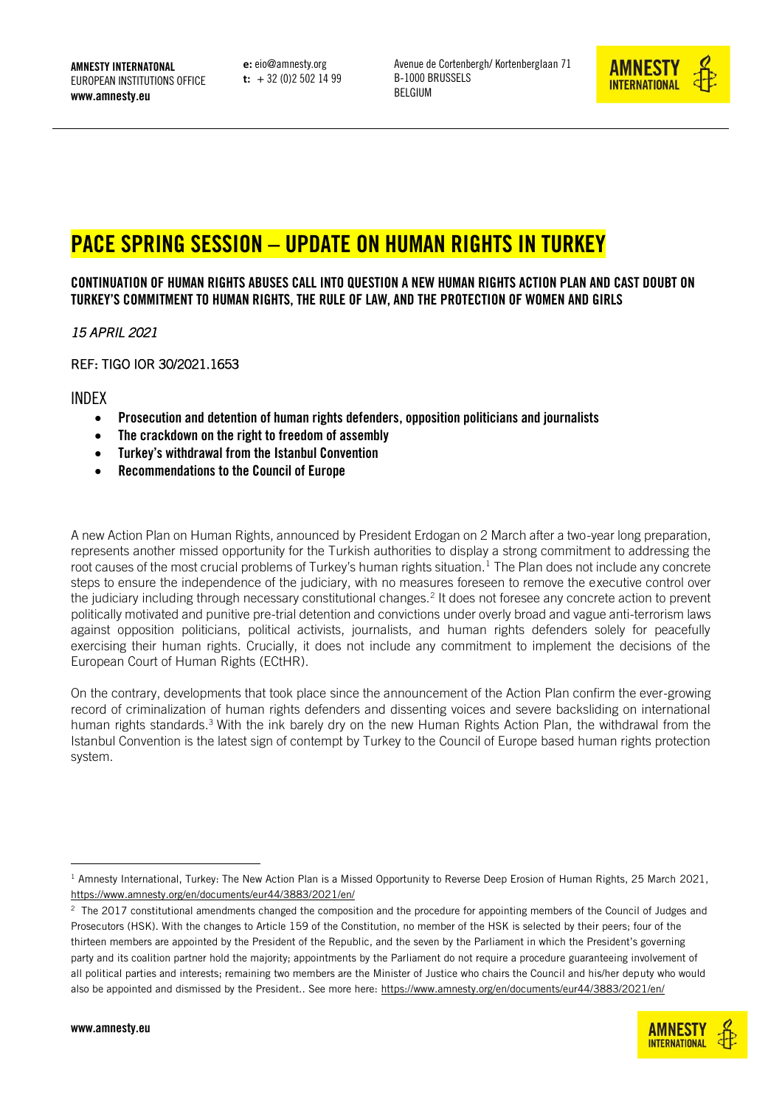AMNESTY INTERNATONAL EUROPEAN INSTITUTIONS OFFICE www.amnesty.eu

**e:** eio@amnesty.org **t:** + 32 (0)2 502 14 99 Avenue de Cortenbergh/ Kortenberglaan 71 B-1000 BRUSSELS BELGIUM



# PACE SPRING SESSION – UPDATE ON HUMAN RIGHTS IN TURKEY

CONTINUATION OF HUMAN RIGHTS ABUSES CALL INTO QUESTION A NEW HUMAN RIGHTS ACTION PLAN AND CAST DOUBT ON TURKEY'S COMMITMENT TO HUMAN RIGHTS, THE RULE OF LAW, AND THE PROTECTION OF WOMEN AND GIRLS

*15 APRIL 2021* 

REF: TIGO IOR 30/2021.1653

INDEX

- Prosecution and detention of human rights defenders, opposition politicians and journalists
- The crackdown on the right to freedom of assembly
- Turkey's withdrawal from the Istanbul Convention
- Recommendations to the Council of Europe

A new Action Plan on Human Rights, announced by President Erdogan on 2 March after a two-year long preparation, represents another missed opportunity for the Turkish authorities to display a strong commitment to addressing the root causes of the most crucial problems of Turkey's human rights situation.<sup>1</sup> The Plan does not include any concrete steps to ensure the independence of the judiciary, with no measures foreseen to remove the executive control over the judiciary including through necessary constitutional changes.<sup>2</sup> It does not foresee any concrete action to prevent politically motivated and punitive pre-trial detention and convictions under overly broad and vague anti-terrorism laws against opposition politicians, political activists, journalists, and human rights defenders solely for peacefully exercising their human rights. Crucially, it does not include any commitment to implement the decisions of the European Court of Human Rights (ECtHR).

On the contrary, developments that took place since the announcement of the Action Plan confirm the ever-growing record of criminalization of human rights defenders and dissenting voices and severe backsliding on international human rights standards.<sup>3</sup> With the ink barely dry on the new Human Rights Action Plan, the withdrawal from the Istanbul Convention is the latest sign of contempt by Turkey to the Council of Europe based human rights protection system.

 $^2$  The 2017 constitutional amendments changed the composition and the procedure for appointing members of the Council of Judges and Prosecutors (HSK). With the changes to Article 159 of the Constitution, no member of the HSK is selected by their peers; four of the thirteen members are appointed by the President of the Republic, and the seven by the Parliament in which the President's governing party and its coalition partner hold the majority; appointments by the Parliament do not require a procedure guaranteeing involvement of all political parties and interests; remaining two members are the Minister of Justice who chairs the Council and his/her deputy who would also be appointed and dismissed by the President.. See more here:<https://www.amnesty.org/en/documents/eur44/3883/2021/en/>



 $1$  Amnesty International, Turkey: The New Action Plan is a Missed Opportunity to Reverse Deep Erosion of Human Rights, 25 March 2021, <https://www.amnesty.org/en/documents/eur44/3883/2021/en/>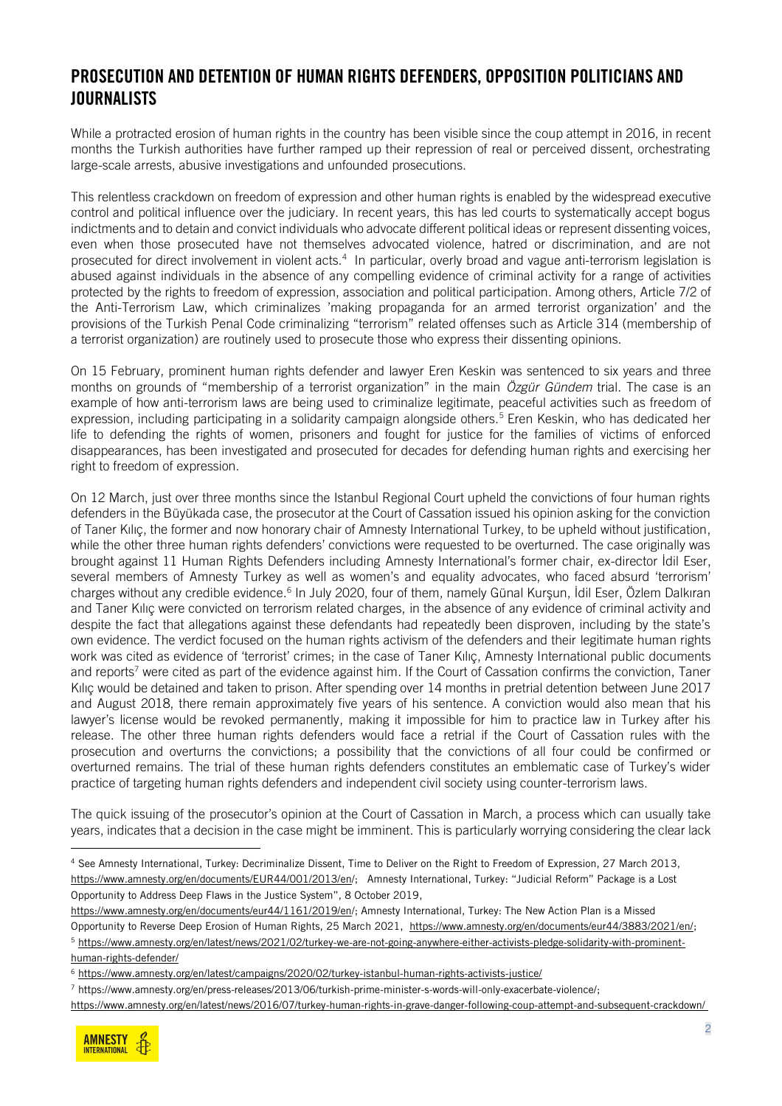#### PROSECUTION AND DETENTION OF HUMAN RIGHTS DEFENDERS, OPPOSITION POLITICIANS AND **JOURNALISTS**

While a protracted erosion of human rights in the country has been visible since the coup attempt in 2016, in recent months the Turkish authorities have further ramped up their repression of real or perceived dissent, orchestrating large-scale arrests, abusive investigations and unfounded prosecutions.

This relentless crackdown on freedom of expression and other human rights is enabled by the widespread executive control and political influence over the judiciary. In recent years, this has led courts to systematically accept bogus indictments and to detain and convict individuals who advocate different political ideas or represent dissenting voices, even when those prosecuted have not themselves advocated violence, hatred or discrimination, and are not prosecuted for direct involvement in violent acts.<sup>4</sup> In particular, overly broad and vague anti-terrorism legislation is abused against individuals in the absence of any compelling evidence of criminal activity for a range of activities protected by the rights to freedom of expression, association and political participation. Among others, Article 7/2 of the Anti-Terrorism Law, which criminalizes 'making propaganda for an armed terrorist organization' and the provisions of the Turkish Penal Code criminalizing "terrorism" related offenses such as Article 314 (membership of a terrorist organization) are routinely used to prosecute those who express their dissenting opinions.

On 15 February, prominent human rights defender and lawyer Eren Keskin was sentenced to six years and three months on grounds of "membership of a terrorist organization" in the main *Özgür Gündem* trial. The case is an example of how anti-terrorism laws are being used to criminalize legitimate, peaceful activities such as freedom of expression, including participating in a solidarity campaign alongside others.<sup>5</sup> Eren Keskin, who has dedicated her life to defending the rights of women, prisoners and fought for justice for the families of victims of enforced disappearances, has been investigated and prosecuted for decades for defending human rights and exercising her right to freedom of expression.

On 12 March, just over three months since the Istanbul Regional Court upheld the convictions of four human rights defenders in the Büyükada case, the prosecutor at the Court of Cassation issued his opinion asking for the conviction of Taner Kılıç, the former and now honorary chair of Amnesty International Turkey, to be upheld without justification, while the other three human rights defenders' convictions were requested to be overturned. The case originally was brought against 11 Human Rights Defenders including Amnesty International's former chair, ex-director İdil Eser, several members of Amnesty Turkey as well as women's and equality advocates, who faced absurd 'terrorism' charges without any credible evidence.<sup>6</sup> In July 2020, four of them, namely Günal Kurşun, İdil Eser, Özlem Dalkıran and Taner Kılıç were convicted on terrorism related charges, in the absence of any evidence of criminal activity and despite the fact that allegations against these defendants had repeatedly been disproven, including by the state's own evidence. The verdict focused on the human rights activism of the defenders and their legitimate human rights work was cited as evidence of 'terrorist' crimes; in the case of Taner Kılıç, Amnesty International public documents and reports<sup>7</sup> were cited as part of the evidence against him. If the Court of Cassation confirms the conviction, Taner Kılıç would be detained and taken to prison. After spending over 14 months in pretrial detention between June 2017 and August 2018, there remain approximately five years of his sentence. A conviction would also mean that his lawyer's license would be revoked permanently, making it impossible for him to practice law in Turkey after his release. The other three human rights defenders would face a retrial if the Court of Cassation rules with the prosecution and overturns the convictions; a possibility that the convictions of all four could be confirmed or overturned remains. The trial of these human rights defenders constitutes an emblematic case of Turkey's wider practice of targeting human rights defenders and independent civil society using counter-terrorism laws.

The quick issuing of the prosecutor's opinion at the Court of Cassation in March, a process which can usually take years, indicates that a decision in the case might be imminent. This is particularly worrying considering the clear lack

https://www.amnesty.org/en/latest/news/2016/07/turkey-human-rights-in-grave-danger-following-coup-attempt-and-subsequent-crackdown/



<sup>4</sup> See Amnesty International, Turkey: Decriminalize Dissent, Time to Deliver on the Right to Freedom of Expression, 27 March 2013, <https://www.amnesty.org/en/documents/EUR44/001/2013/en/>; Amnesty International, Turkey: "Judicial Reform" Package is a Lost Opportunity to Address Deep Flaws in the Justice System", 8 October 2019,

[https://www.amnesty.org/en/documents/eur44/1161/2019/en/;](https://www.amnesty.org/en/documents/eur44/1161/2019/en/) Amnesty International, Turkey: The New Action Plan is a Missed Opportunity to Reverse Deep Erosion of Human Rights, 25 March 2021, [https://www.amnesty.org/en/documents/eur44/3883/2021/en/;](https://www.amnesty.org/en/documents/eur44/3883/2021/en/)

<sup>5</sup> https://www.amnesty.org/en/latest/news/2021/02/turkey-we-are-not-going-anywhere-either-activists-pledge-solidarity-with-prominenthuman-rights-defender/

<sup>6</sup> https://www.amnesty.org/en/latest/campaigns/2020/02/turkey-istanbul-human-rights-activists-justice/

<sup>7</sup> [https://www.amnesty.org/en/press-releases/2013/06/turkish-prime-minister-s-words-will-only-exacerbate-violence/;](https://www.amnesty.org/en/press-releases/2013/06/turkish-prime-minister-s-words-will-only-exacerbate-violence/)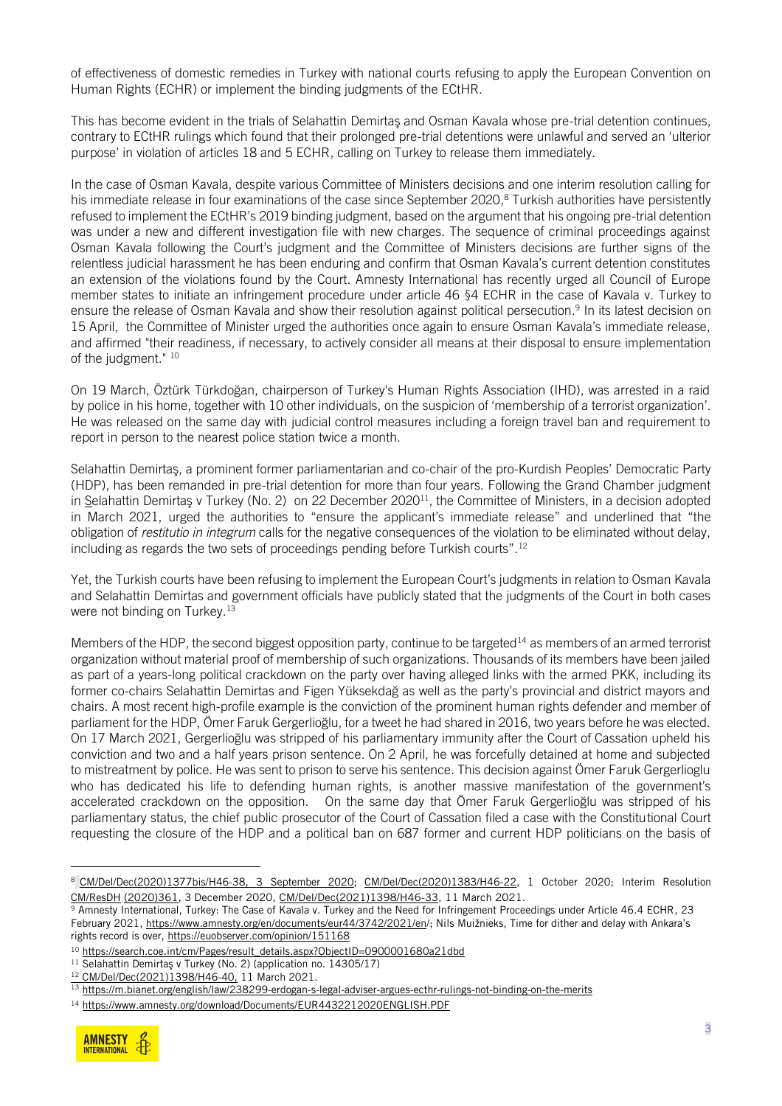of effectiveness of domestic remedies in Turkey with national courts refusing to apply the European Convention on Human Rights (ECHR) or implement the binding judgments of the ECtHR.

This has become evident in the trials of Selahattin Demirtaş and Osman Kavala whose pre-trial detention continues, contrary to ECtHR rulings which found that their prolonged pre-trial detentions were unlawful and served an 'ulterior purpose' in violation of articles 18 and 5 ECHR, calling on Turkey to release them immediately.

In the case of Osman Kavala, despite various Committee of Ministers decisions and one interim resolution calling for his immediate release in four examinations of the case since September 2020, <sup>8</sup> Turkish authorities have persistently refused to implement the ECtHR's 2019 binding judgment, based on the argument that his ongoing pre-trial detention was under a new and different investigation file with new charges. The sequence of criminal proceedings against Osman Kavala following the Court's judgment and the Committee of Ministers decisions are further signs of the relentless judicial harassment he has been enduring and confirm that Osman Kavala's current detention constitutes an extension of the violations found by the Court. Amnesty International has recently urged all Council of Europe member states to initiate an infringement procedure under article 46 §4 ECHR in the case of Kavala v. Turkey to ensure the release of Osman Kavala and show their resolution against political persecution.<sup>9</sup> In its latest decision on 15 April, the Committee of Minister urged the authorities once again to ensure Osman Kavala's immediate release, and affirmed "their readiness, if necessary, to actively consider all means at their disposal to ensure implementation of the judgment." 10

On 19 March, Öztürk Türkdoğan, chairperson of Turkey's Human Rights Association (IHD), was arrested in a raid by police in his home, together with 10 other individuals, on the suspicion of 'membership of a terrorist organization'. He was released on the same day with judicial control measures including a foreign travel ban and requirement to report in person to the nearest police station twice a month.

Selahattin Demirtaş, a prominent former parliamentarian and co-chair of the pro-Kurdish Peoples' Democratic Party (HDP), has been remanded in pre-trial detention for more than four years. Following the Grand Chamber judgment in S[elahattin Demirtaş v Turkey \(No. 2\)](https://hudoc.echr.coe.int/eng#{%22languageisocode%22:[%22ENG%22],%22appno%22:[%2214305/17%22],%22documentcollectionid2%22:[%22JUDGMENTS%22],%22itemid%22:[%22001-207173%22]}) on 22 December 2020<sup>11</sup>, the Committee of Ministers, in a decision adopted in March 2021, urged the authorities to "ensure the applicant's immediate release" and underlined that "the obligation of *restitutio in integrum* calls for the negative consequences of the violation to be eliminated without delay, including as regards the two sets of proceedings pending before Turkish courts".<sup>12</sup>

Yet, the Turkish courts have been refusing to implement the European Court's judgments in relation to Osman Kavala and Selahattin Demirtas and government officials have publicly stated that the judgments of the Court in both cases were not binding on Turkey.<sup>13</sup>

Members of the HDP, the second biggest opposition party, continue to be targeted<sup>14</sup> as members of an armed terrorist organization without material proof of membership of such organizations. Thousands of its members have been jailed as part of a years-long political crackdown on the party over having alleged links with the armed PKK, including its former co-chairs Selahattin Demirtas and Figen Yüksekdağ as well as the party's provincial and district mayors and chairs. A most recent high-profile example is the conviction of the prominent human rights defender and member of parliament for the HDP, Ömer Faruk Gergerlioğlu, for a tweet he had shared in 2016, two years before he was elected. On 17 March 2021, Gergerlioğlu was stripped of his parliamentary immunity after the Court of Cassation upheld his conviction and two and a half years prison sentence. On 2 April, he was forcefully detained at home and subjected to mistreatment by police. He was sent to prison to serve his sentence. This decision against Ömer Faruk Gergerlioglu who has dedicated his life to defending human rights, is another massive manifestation of the government's accelerated crackdown on the opposition. On the same day that Ömer Faruk Gergerlioğlu was stripped of his parliamentary status, the chief public prosecutor of the Court of Cassation filed a case with the Constitutional Court requesting the closure of the HDP and a political ban on 687 former and current HDP politicians on the basis of

<sup>14</sup> https://www.amnesty.org/download/Documents/EUR4432212020ENGLISH.PDF



<sup>8</sup> [CM/Del/Dec\(2020\)1377bis/H46-38,](https://search.coe.int/cm/Pages/result_details.aspx?ObjectID=09000016809f62cd) 3 September 2020; [CM/Del/Dec\(2020\)1383/H46-22,](https://search.coe.int/cm/Pages/result_details.aspx?ObjectID=09000016809fa93f) 1 October 2020; Interim Resolution [CM/ResDH](https://search.coe.int/cm/Pages/result_details.aspx?ObjectID=0900001680a09786) [\(2020\)361,](https://search.coe.int/cm/Pages/result_details.aspx?ObjectID=0900001680a09786) 3 December 2020, [CM/Del/Dec\(2021\)1398/H46-33,](https://search.coe.int/cm/Pages/result_details.aspx?ObjectID=0900001680a1b371) 11 March 2021.

<sup>9</sup> Amnesty International, Turkey: The Case of Kavala v. Turkey and the Need for Infringement Proceedings under Article 46.4 ECHR, 23 February 2021,<https://www.amnesty.org/en/documents/eur44/3742/2021/en/>; Nils Muižnieks, Time for dither and delay with Ankara's rights record is over, https://euobserver.com/opinion/151168

<sup>10</sup> [https://search.coe.int/cm/Pages/result\\_details.aspx?ObjectID=0900001680a21dbd](https://search.coe.int/cm/Pages/result_details.aspx?ObjectID=0900001680a21dbd)

<sup>&</sup>lt;sup>11</sup> Selahattin Demirtaş v Turkey (No. 2) (application no. 14305/17)

<sup>12</sup> [CM/Del/Dec\(2021\)1398/H46-40,](https://search.coe.int/cm/Pages/result_details.aspx?ObjectID=0900001680a1b20f) 11 March 2021.

<sup>13</sup> https://m.bianet.org/english/law/238299-erdogan-s-legal-adviser-argues-ecthr-rulings-not-binding-on-the-merits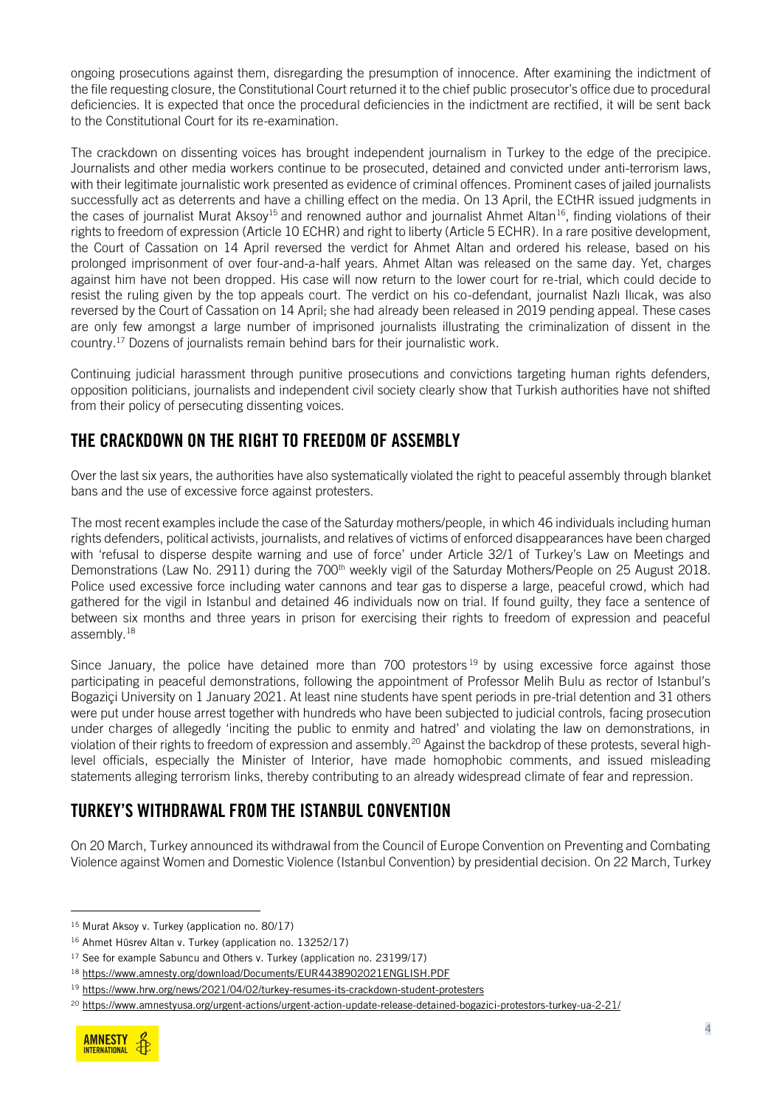ongoing prosecutions against them, disregarding the presumption of innocence. After examining the indictment of the file requesting closure, the Constitutional Court returned it to the chief public prosecutor's office due to procedural deficiencies. It is expected that once the procedural deficiencies in the indictment are rectified, it will be sent back to the Constitutional Court for its re-examination.

The crackdown on dissenting voices has brought independent journalism in Turkey to the edge of the precipice. Journalists and other media workers continue to be prosecuted, detained and convicted under anti-terrorism laws, with their legitimate journalistic work presented as evidence of criminal offences. Prominent cases of jailed journalists successfully act as deterrents and have a chilling effect on the media. On 13 April, the ECtHR issued judgments in the cases of journalist Murat Aksoy<sup>15</sup> and renowned author and journalist Ahmet Altan<sup>16</sup>, finding violations of their rights to freedom of expression (Article 10 ECHR) and right to liberty (Article 5 ECHR). In a rare positive development, the Court of Cassation on 14 April reversed the verdict for Ahmet Altan and ordered his release, based on his prolonged imprisonment of over four-and-a-half years. Ahmet Altan was released on the same day. Yet, charges against him have not been dropped. His case will now return to the lower court for re-trial, which could decide to resist the ruling given by the top appeals court. The verdict on his co-defendant, journalist Nazlı Ilıcak, was also reversed by the Court of Cassation on 14 April; she had already been released in 2019 pending appeal. These cases are only few amongst a large number of imprisoned journalists illustrating the criminalization of dissent in the country.<sup>17</sup> Dozens of journalists remain behind bars for their journalistic work.

Continuing judicial harassment through punitive prosecutions and convictions targeting human rights defenders, opposition politicians, journalists and independent civil society clearly show that Turkish authorities have not shifted from their policy of persecuting dissenting voices.

## THE CRACKDOWN ON THE RIGHT TO FREEDOM OF ASSEMBLY

Over the last six years, the authorities have also systematically violated the right to peaceful assembly through blanket bans and the use of excessive force against protesters.

The most recent examples include the case of the Saturday mothers/people, in which 46 individuals including human rights defenders, political activists, journalists, and relatives of victims of enforced disappearances have been charged with 'refusal to disperse despite warning and use of force' under Article 32/1 of Turkey's Law on Meetings and Demonstrations (Law No. 2911) during the 700<sup>th</sup> weekly vigil of the Saturday Mothers/People on 25 August 2018. Police used excessive force including water cannons and tear gas to disperse a large, peaceful crowd, which had gathered for the vigil in Istanbul and detained 46 individuals now on trial. If found guilty, they face a sentence of between six months and three years in prison for exercising their rights to freedom of expression and peaceful assembly.<sup>18</sup>

Since January, the police have detained more than  $700$  protestors  $19$  by using excessive force against those participating in peaceful demonstrations, following the appointment of Professor Melih Bulu as rector of Istanbul's Bogaziçi University on 1 January 2021. At least nine students have spent periods in pre-trial detention and 31 others were put under house arrest together with hundreds who have been subjected to judicial controls, facing prosecution under charges of allegedly 'inciting the public to enmity and hatred' and violating the law on demonstrations, in violation of their rights to freedom of expression and assembly.<sup>20</sup> Against the backdrop of these protests, several highlevel officials, especially the Minister of Interior, have made homophobic comments, and issued misleading statements alleging terrorism links, thereby contributing to an already widespread climate of fear and repression.

## TURKEY'S WITHDRAWAL FROM THE ISTANBUL CONVENTION

On 20 March, Turkey announced its withdrawal from the Council of Europe Convention on Preventing and Combating Violence against Women and Domestic Violence (Istanbul Convention) by presidential decision. On 22 March, Turkey

<sup>20</sup> https://www.amnestyusa.org/urgent-actions/urgent-action-update-release-detained-bogazici-protestors-turkey-ua-2-21/



<sup>15</sup> Murat Aksoy v. Turkey (application no. 80/17)

<sup>16</sup> Ahmet Hüsrev Altan v. Turkey (application no. 13252/17)

<sup>&</sup>lt;sup>17</sup> See for example Sabuncu and Others v. Turkey (application no. 23199/17)

<sup>18</sup> https://www.amnesty.org/download/Documents/EUR4438902021ENGLISH.PDF

<sup>19</sup> https://www.hrw.org/news/2021/04/02/turkey-resumes-its-crackdown-student-protesters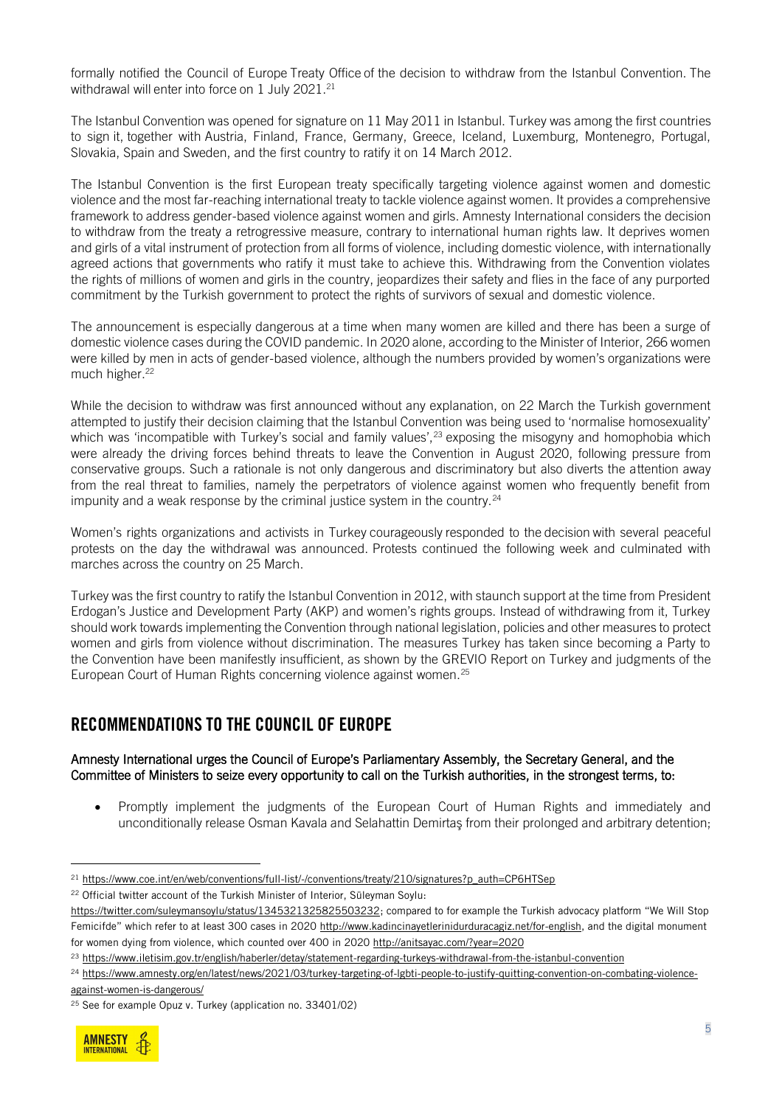formally notified the Council of Europe Treaty Office of the decision to withdraw from the Istanbul Convention. The withdrawal will enter into force on  $1$  July 202 $1.^{\scriptscriptstyle 21}$ 

The Istanbul Convention was opened for signature on 11 May 2011 in Istanbul. Turkey was among the first countries to sign it, together with Austria, Finland, France, Germany, Greece, Iceland, Luxemburg, Montenegro, Portugal, Slovakia, Spain and Sweden, and the first country to ratify it on 14 March 2012.

The Istanbul Convention is the first European treaty specifically targeting violence against women and domestic violence and the most far-reaching international treaty to tackle violence against women. It provides a comprehensive framework to address gender-based violence against women and girls. Amnesty International considers the decision to withdraw from the treaty a retrogressive measure, contrary to international human rights law. It deprives women and girls of a vital instrument of protection from all forms of violence, including domestic violence, with internationally agreed actions that governments who ratify it must take to achieve this. Withdrawing from the Convention violates the rights of millions of women and girls in the country, jeopardizes their safety and flies in the face of any purported commitment by the Turkish government to protect the rights of survivors of sexual and domestic violence.

The announcement is especially dangerous at a time when many women are killed and there has been a surge of domestic violence cases during the COVID pandemic. In 2020 alone, according to the Minister of Interior, 266 women were killed by men in acts of gender-based violence, although the numbers provided by women's organizations were much higher.<sup>22</sup>

While the decision to withdraw was first announced without any explanation, on 22 March the Turkish government attempted to justify their decision claiming that the Istanbul Convention was being used to 'normalise homosexuality' which was 'incompatible with Turkey's social and family values',<sup>23</sup> exposing the misogyny and homophobia which were already the driving forces behind threats to leave the Convention in August 2020, following pressure from conservative groups. Such a rationale is not only dangerous and discriminatory but also diverts the attention away from the real threat to families, namely the perpetrators of violence against women who frequently benefit from impunity and a weak response by the criminal justice system in the country.<sup>24</sup>

Women's rights organizations and activists in Turkey courageously responded to the decision with several peaceful protests on the day the withdrawal was announced. Protests continued the following week and culminated with marches across the country on 25 March.

Turkey was the first country to ratify the Istanbul Convention in 2012, with staunch support at the time from President Erdogan's Justice and Development Party (AKP) and women's rights groups. Instead of withdrawing from it, Turkey should work towards implementing the Convention through national legislation, policies and other measures to protect women and girls from violence without discrimination. The measures Turkey has taken since becoming a Party to the Convention have been manifestly insufficient, as shown by the GREVIO Report on Turkey and judgments of the European Court of Human Rights concerning violence against women.<sup>25</sup>

#### RECOMMENDATIONS TO THE COUNCIL OF EUROPE

#### Amnesty International urges the Council of Europe's Parliamentary Assembly, the Secretary General, and the Committee of Ministers to seize every opportunity to call on the Turkish authorities, in the strongest terms, to:

• Promptly implement the judgments of the European Court of Human Rights and immediately and unconditionally release Osman Kavala and Selahattin Demirtaş from their prolonged and arbitrary detention;

<sup>22</sup> Official twitter account of the Turkish Minister of Interior, Süleyman Soylu:

<sup>24</sup> https://www.amnesty.org/en/latest/news/2021/03/turkey-targeting-of-lgbti-people-to-justify-quitting-convention-on-combating-violenceagainst-women-is-dangerous/

<sup>25</sup> See for example Opuz v. Turkey (application no. 33401/02)



<sup>21</sup> https://www.coe.int/en/web/conventions/full-list/-/conventions/treaty/210/signatures?p\_auth=CP6HTSep

<https://twitter.com/suleymansoylu/status/1345321325825503232>; compared to for example the Turkish advocacy platform "We Will Stop Femicifde" which refer to at least 300 cases in 2020 [http://www.kadincinayetlerinidurduracagiz.net/for-english,](http://www.kadincinayetlerinidurduracagiz.net/for-english) and the digital monument for women dying from violence, which counted over 400 in 2020 http://anitsayac.com/?year=2020

<sup>23</sup> https://www.iletisim.gov.tr/english/haberler/detay/statement-regarding-turkeys-withdrawal-from-the-istanbul-convention